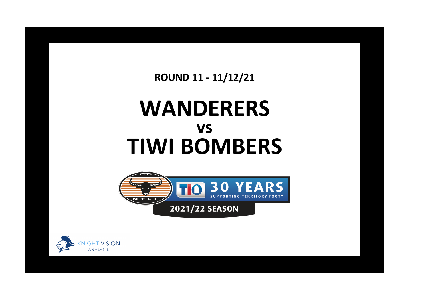**ROUND 11 - 11/12/21**

## **WANDERERS TIWI BOMBERS vs**



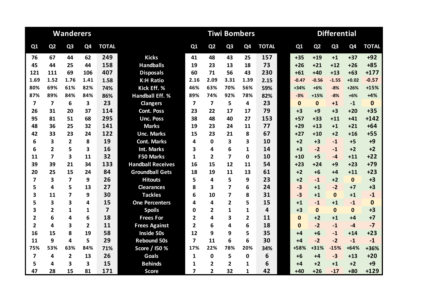|                         |                | <b>Wanderers</b> |                |                |                          | <b>Tiwi Bombers</b><br><b>Differential</b> |                         |                |                |              |  |              |                |                |              |              |
|-------------------------|----------------|------------------|----------------|----------------|--------------------------|--------------------------------------------|-------------------------|----------------|----------------|--------------|--|--------------|----------------|----------------|--------------|--------------|
| Q1                      | Q <sub>2</sub> | Q <sub>3</sub>   | Q4             | <b>TOTAL</b>   |                          | Q1                                         | Q <sub>2</sub>          | Q <sub>3</sub> | Q <sub>4</sub> | <b>TOTAL</b> |  | Q1           | Q <sub>2</sub> | Q <sub>3</sub> | Q4           | <b>TOTAL</b> |
| 76                      | 67             | 44               | 62             | 249            | <b>Kicks</b>             | 41                                         | 48                      | 43             | 25             | 157          |  | $+35$        | $+19$          | $+1$           | $+37$        | $+92$        |
| 45                      | 44             | 25               | 44             | 158            | <b>Handballs</b>         | 19                                         | 23                      | 13             | 18             | 73           |  | $+26$        | $+21$          | $+12$          | $+26$        | $+85$        |
| 121                     | 111            | 69               | 106            | 407            | <b>Disposals</b>         | 60                                         | 71                      | 56             | 43             | 230          |  | $+61$        | $+40$          | $+13$          | $+63$        | $+177$       |
| 1.69                    | 1.52           | 1.76             | 1.41           | 1.58           | <b>K:H Ratio</b>         | 2.16                                       | 2.09                    | 3.31           | 1.39           | 2.15         |  | $-0.47$      | $-0.56$        | $-1.55$        | $+0.02$      | $-0.57$      |
| 80%                     | 69%            | 61%              | 82%            | 74%            | Kick Eff. %              | 46%                                        | 63%                     | 70%            | 56%            | 59%          |  | +34%         | $+6%$          | $-8%$          | $+26%$       | $+15%$       |
| 87%                     | 89%            | 84%              | 84%            | 86%            | <b>Handball Eff. %</b>   | 89%                                        | 74%                     | 92%            | 78%            | 82%          |  | $-3%$        | $+15%$         | $-8%$          | $+6%$        | $+4%$        |
| $\overline{7}$          | $\overline{7}$ | 6                | 3              | 23             | <b>Clangers</b>          | $\overline{\mathbf{z}}$                    | $\overline{\mathbf{z}}$ | 5              | 4              | 23           |  | $\mathbf{0}$ | $\mathbf{0}$   | $+1$           | $-1$         | $\mathbf{0}$ |
| 26                      | 31             | 20               | 37             | 114            | <b>Cont. Poss</b>        | 23                                         | 22                      | 17             | 17             | 79           |  | $+3$         | $+9$           | $+3$           | $+20$        | $+35$        |
| 95                      | 81             | 51               | 68             | 295            | <b>Unc. Poss</b>         | 38                                         | 48                      | 40             | 27             | 153          |  | $+57$        | $+33$          | $+11$          | $+41$        | $+142$       |
| 48                      | 36             | 25               | 32             | 141            | <b>Marks</b>             | 19                                         | 23                      | 24             | 11             | 77           |  | $+29$        | $+13$          | $+1$           | $+21$        | $+64$        |
| 42                      | 33             | 23               | 24             | 122            | <b>Unc. Marks</b>        | 15                                         | 23                      | 21             | 8              | 67           |  | $+27$        | $+10$          | $+2$           | $+16$        | $+55$        |
| 6                       | 3              | $\overline{2}$   | 8              | 19             | <b>Cont. Marks</b>       | 4                                          | $\Omega$                | 3              | 3              | 10           |  | $+2$         | $+3$           | $-1$           | $+5$         | $+9$         |
| 6                       | $\overline{2}$ | 5                | 3              | 16             | Int. Marks               | 3                                          | 4                       | 6              | 1              | 14           |  | $+3$         | $-2$           | $-1$           | $+2$         | $+2$         |
| 11                      | $\overline{7}$ | 3                | 11             | 32             | F50 Marks                | $\mathbf{1}$                               | $\overline{2}$          | 7              | 0              | 10           |  | $+10$        | $+5$           | $-4$           | $+11$        | $+22$        |
| 39                      | 39             | 21               | 34             | 133            | <b>Handball Receives</b> | 16                                         | 15                      | 12             | 11             | 54           |  | $+23$        | $+24$          | $+9$           | $+23$        | $+79$        |
| 20                      | 25             | 15               | 24             | 84             | <b>Groundball Gets</b>   | 18                                         | 19                      | 11             | 13             | 61           |  | $+2$         | $+6$           | $+4$           | $+11$        | $+23$        |
| 7                       | 3              | $\overline{7}$   | 9              | 26             | <b>Hitouts</b>           | 5                                          | 4                       | 5              | 9              | 23           |  | $+2$         | $-1$           | $+2$           | $\mathbf{0}$ | $+3$         |
| 5                       | 4              | 5                | 13             | 27             | <b>Clearances</b>        | 8                                          | 3                       | 7              | 6              | 24           |  | $-3$         | $+1$           | $-2$           | $+7$         | $+3$         |
| 3                       | 11             | $\overline{7}$   | 9              | 30             | <b>Tackles</b>           | 6                                          | 10                      | 7              | 8              | 31           |  | $-3$         | $+1$           | $\mathbf{0}$   | $+1$         | $-1$         |
| 5                       | 3              | 3                | 4              | 15             | <b>One Percenters</b>    | 4                                          | 4                       | $\overline{2}$ | 5              | 15           |  | $+1$         | $-1$           | $+1$           | $-1$         | $\mathbf{0}$ |
| 3                       | $\overline{2}$ | $\mathbf{1}$     | 1              | $\overline{7}$ | <b>Spoils</b>            | 0                                          | $\overline{2}$          | 1              | 1              | 4            |  | $+3$         | $\Omega$       | $\Omega$       | $\Omega$     | $+3$         |
| $\overline{2}$          | 6              | 4                | 6              | 18             | <b>Frees For</b>         | $\overline{2}$                             | 4                       | 3              | 2              | 11           |  | $\mathbf{0}$ | $+2$           | $+1$           | $+4$         | $+7$         |
| $\overline{\mathbf{2}}$ | 4              | 3                | $\overline{2}$ | 11             | <b>Frees Against</b>     | $\overline{2}$                             | 6                       | 4              | 6              | 18           |  | $\bf{0}$     | $-2$           | $-1$           | $-4$         | $-7$         |
| 16                      | 15             | 8                | 19             | 58             | <b>Inside 50s</b>        | 12                                         | 9                       | 9              | 5              | 35           |  | $+4$         | $+6$           | $-1$           | $+14$        | $+23$        |
| 11                      | 9              | 4                | 5              | 29             | <b>Rebound 50s</b>       | 7                                          | 11                      | 6              | 6              | 30           |  | $+4$         | $-2$           | $-2$           | $-1$         | $-1$         |
| 75%                     | 53%            | 63%              | 84%            | 71%            | Score / I50 %            | 17%                                        | 22%                     | 78%            | 20%            | 34%          |  | +58%         | $+31%$         | $-15%$         | $+64%$       | +36%         |
| $\overline{\mathbf{z}}$ | 4              | $\overline{2}$   | 13             | 26             | <b>Goals</b>             | $\mathbf{1}$                               | $\mathbf 0$             | 5              | 0              | 6            |  | $+6$         | $+4$           | $-3$           | $+13$        | $+20$        |
| 5                       | 4              | 3                | 3              | 15             | <b>Behinds</b>           | 1                                          | 2                       | $\mathbf{2}$   | 1              | 6            |  | +4           | $+2$           | $+1$           | $+2$         | $+9$         |
| 47                      | 28             | 15               | 81             | 171            | <b>Score</b>             | 7                                          | $\overline{2}$          | 32             | $\mathbf{1}$   | 42           |  | $+40$        | $+26$          | $-17$          | $+80$        | $+129$       |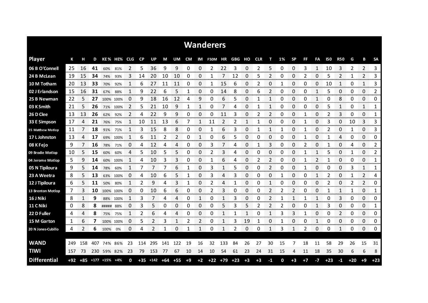|                     |     |            |     |               |          |              |           |                    |     |           |      |      | <b>Wanderers</b> |           |            |              |            |                |          |           |      |              |                |            |       |                |                |
|---------------------|-----|------------|-----|---------------|----------|--------------|-----------|--------------------|-----|-----------|------|------|------------------|-----------|------------|--------------|------------|----------------|----------|-----------|------|--------------|----------------|------------|-------|----------------|----------------|
| <b>Player</b>       | К   | н          | D   |               | KE% HE%  | CLG.         | <b>CP</b> | <b>UP</b>          | М   | <b>UM</b> | CM   | IM   | <b>F50M</b>      | ΗR        | <b>GBG</b> | но           | <b>CLR</b> | т              | 1%       | <b>SP</b> | FF   | FA           | <b>150</b>     | <b>R50</b> | G     | B              | <b>SA</b>      |
| 06 B O'Connell      | 25  | 16         | 41  | 60%           | 81%      | 2            | 5         | 36                 | 9   | 9         | 0    | 0    | 2                | 22        | 3          | 0            | 2          | 5              | 0        | 0         | 3    | 1            | 10             | 3          | 2     | 2              | 3              |
| 24 B McLean         | -19 | 15         | 34  | 74%           | 93%      | 3            | 14        | 20                 | 10  | 10        | 0    | 0    | 1                | 7         | 12         | 0            | 5          | 2              | 0        | 0         | 2    | 0            | 5              | 2          | 1     | $\overline{2}$ | 3              |
| 10 M Totham         | -20 | 13         | 33  | 70%           | 92%      | 1            | 6         | 27                 | 11  | 11        | 0    | 0    | 1                | 15        | 6          | 0            | 2          | 0              | 1        | 0         | 0    | 0            | 10             | 1          | 0     | 1              | 3              |
| 02 J Erlandson      | 15  | 16         | 31  | 67%           | 88%      | $\mathbf{1}$ | 9         | 22                 | 6   | 5         | 1    | 0    | 0                | 14        | 8          | 0            | 6          | 2              | 0        | 0         | 0    | $\mathbf{1}$ | 5              | 0          | 0     | 0              | $\overline{2}$ |
| 25 B Newman         | 22  | 5          | 27  | 100% 100%     |          | 0            | 9         | 18                 | 16  | 12        | 4    | 9    | 0                | 6         | 5          | 0            | 1          | 1              | $\Omega$ | 0         | 0    | 1            | 0              | 8          | 0     | 0              | 0              |
| 03 K Smith          | 21  | 5          | 26  | 71%           | 100%     | 2            | 5         | 21                 | 10  | 9         | 1    | 1    | 0                | 7         | 4          | 0            |            | 1              | 0        | 0         | 0    | 0            | 5              | 1          | 0     | 1              | 1              |
| 26 D Clee           | 13  | 13         | 26  | 62%           | 92%      | 2            | 4         | 22                 | 9   | 9         | 0    | 0    | 0                | 11        | 3          | 0            | 2          | 2              | 0        | 0         | 1    | 0            |                | 3          | 0     | 0              | 1              |
| 33 E Simpson        | 17  | 4          | 21  | 76%           | 75%      | $\mathbf{1}$ | 10        | 11                 | 13  | 6         | 7    | 1    | 11               | 2         | 2          | $\mathbf{1}$ | 1          | $\Omega$       | 0        | 0         | 1    | 0            | 3              | 0          | 10    | 3              | 3              |
| 35 Matthew Motlop   | -11 | 7          | 18  | 91%           | 71%      | 1            | 3         | 15                 | 8   | 8         | 0    | 0    | 1                | 6         | 3          | 0            | 1          | 1              | 1        | 0         | 1    | 0            | 2              | 0          | 1     | 0              | 3              |
| 17 L Johnston       | 13  | 4          | 17  | 69%           | 100%     | 1            | 6         | 11                 | 2   | 2         | 0    | 1    | 0                | 6         | 5          | 0            | 0          | 0              | 0        | 0         | 1    | 0            |                | 4          | 0     | 0              | 0              |
| 08 K Fejo           | 9   | 7          | 16  | 78%           | 71%      | 0            | 4         | 12                 | 4   | 4         | 0    | 0    | 3                | 7         | 4          | 0            |            | 3              | 0        | 0         | 2    | 0            |                | 0          | 4     | 0              | 2              |
| 09 Brodie Motlop    | 10  | 5          | 15  | 60%           | 60%      | 4            | 5         | 10                 | 5   | 5         | 0    | 0    | 2                | 3         | 4          | 0            | 0          | 0              | 0        | 0         | 1    | 1            | 5              | 0          | 1     | 0              | 2              |
| 04 Jerome Motlop    | 5   | 9          | 14  | 60%           | 100%     |              | 4         | 10                 | 3   | 3         | 0    | 0    | 1                | 6         | 4          | 0            | 2          | 2              | 0        | 0         | 1    | 2            |                | 0          | 0     | 0              | 1              |
| 05 N Tipiloura      | 9   | 5          | 14  | 78%           | 60%      | 1            |           | 7                  | 7   | 6         | 1    | 0    | 3                | 1         | 5          | 0            | 0          | $\overline{2}$ | 0        | 0         |      | 0            | 0              | 0          | 3     | 1              | 1              |
| 23 A Weetra         | 8   | 5          | 13  | 63%           | 100%     | 0            | 4         | 10                 | 6   | 5         | 1    | 0    | 3                | 4         | 3          | 0            | 0          | 0              | 1        | 0         | 0    | 1            | 2              | 0          | 1     | 2              | 4              |
| 12 J Tipiloura      | 6   | 5.         | 11  | 50%           | 80%      | 1            | 2         | 9                  | 4   | 3         | 1    | 0    | 2                | 4         | 1          | 0            | 0          | 1              | 0        | 0         | 0    | 0            | $\overline{2}$ | 0          | 2     | 2              | 0              |
| 13 Brenton Motlop   | 7   | 3          | 10  | 100% 100%     |          | 0            | 0         | 10                 | 6   | 6         | 0    | 0    | 2                | 3         | 0          | 0            | 0          | 2              | 2        | 2         | 0    | 0            |                | 1          | 1     | 0              | 1              |
| 16 J Niki           | 8   | 1          | 9   |               | 88% 100% | 1            | 3         |                    | 4   | 4         | 0    |      | 0                | 1         | 3          | 0            | 0          |                |          | 1         |      | 1            | 0              | 3          | 0     | 0              | 0              |
| 11 C Niki           | 0   | 8          | 8   | ##### 88%     |          | 0            | 3         | 5                  | 0   | 0         | 0    | 0    | 0                | 5         | 3          | 5            | 2          | 2              | 2        | 0         | 0    | 1            | 3              | 0          | 0     | 0              | 1              |
| 22 D Fuller         | 4   | 4<br>ana a | 8   | 75%           | 75%      | 1            | 2         | 6                  | 4   | Δ         | 0    | 0    | 0                | 1         | 1          | 1            | 0          | 1              | 3        | 3         | 1    | 0            | 0              | 2<br>oma e | 0     | 0<br>an ana    | 0<br>omonom    |
| 15 M Garton         | 1   | 6          | 7   | 100%          | 100%     | 0            | 5         | 2                  | 3   | 1         | 2    | 2    | 0                | 1         | 3          | 19           | 1          | 0              | 1        | 0         | 0    | 1            | 0              | 0          | 0     | 0              | 0              |
| 20 N Jones Cubillo  | 4   | 2          | 6   | 100%          | 0%       | 0            | 4         |                    | 1   | 0         | 1    | 1    | 0                | 1         | 2          | 0            | 0          | 1              | 3        | 1         | 2    | 0            | 0              | 1          | 0     | 0              | 0              |
|                     |     |            |     |               |          |              |           |                    |     |           |      |      |                  |           |            |              |            |                |          |           |      |              |                |            |       |                |                |
| <b>WAND</b>         | 249 | 158        | 407 |               | 74% 86%  | 23           | 114       | 295                | 141 | 122       | 19   | 16   | 32               | 133       | 84         | 26           | 27         | 30             | 15       |           | 18   | 11           | 58             | 29         | 26    | 15             | 31             |
| <b>TIWI</b>         | 157 | 73         |     | 230 59% 82%   |          | 23           | 79        | 153                | -77 | 67        | 10   | 14   | 10               | 54        | 61         | 23           | 24         | 31             | 15       | 4         | 11   | 18           | 35             | 30         | 6     | 6              | 8              |
| <b>Differential</b> |     | $+92 +85$  |     | $+177$ $+15%$ | $+4%$    | 0            |           | $+35$ $+142$ $+64$ |     | $+55$     | $+9$ | $+2$ |                  | $+22$ +79 | $+23$      | $+3$         | $+3$       | $-1$           | 0        | $+3$      | $+7$ | $-7$         | $+23$          | $-1$       | $+20$ | $+9$           | $+23$          |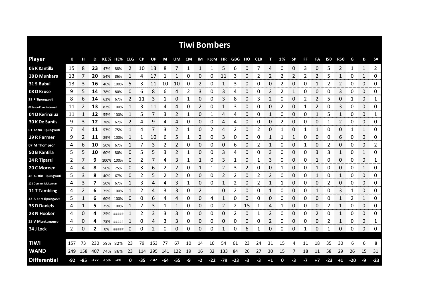|                        |     |     |         |     |             |     |           |         |         |                |      |    | <b>Tiwi Bombers</b> |       |       |    |            |      |    |           |              |              |       |                |       |            |             |
|------------------------|-----|-----|---------|-----|-------------|-----|-----------|---------|---------|----------------|------|----|---------------------|-------|-------|----|------------|------|----|-----------|--------------|--------------|-------|----------------|-------|------------|-------------|
| <b>Player</b>          | К   |     | D       |     | KE% HE% CLG |     | <b>CP</b> | UP      | М       | UM             | CM   |    | IM F50M HR GBG      |       |       | но | <b>CLR</b> | т    | 1% | <b>SP</b> | FF           | FA           | 150   | <b>R50</b>     | G     | в          | <b>SA</b>   |
| 05 K Kantilla          | 15  | 8   | 23      | 47% | 88%         | 2   | 10        | 13      | 8       |                | 1    | 1  | 1                   | 5     | 6     | 0  |            | Δ    | 0  | 0         | 3            | 0            |       | $\overline{2}$ |       | 1          | 2<br>       |
| 38 D Munkara           | 13  |     | 20      | 54% | 86%         | 1   | 4         | 17      |         | 1              | 0    | 0  | 0                   | 11    | 3     | 0  | 2          | 2    | 2  | 2         | 2            | 2            | 5     | 1              | 0     | 1          | 0           |
| 31 S Babui             | 13  |     | 16      | 46% | 100%        | 5   | 3         | 11      | 10      | 10             | 0    | 2  | 0                   | 1     | 3     | 0  | 0          | 0    |    | 0         | O            | 1            |       | 2              | 0     | 0          | 0           |
| 08 D Kruse             | 9   | 5.  | 14      | 78% | 80%         | 0   | 6         | 8       | 6       | 4              | 2    | 3  | 0                   | 3     | 4     | 0  | 0          | 2    | 2  | 1         | 0            | 0            | 0     | 3              | 0     | 0          | 0           |
| 39 P Tipungwuti        | 8   | 6   | 14      | 63% | 67%         | 2   | 11        | 3       | 1       | 0              | 1    | 0  | 0                   | 3     | 8     | 0  | 3          | 2    | 0  | 0         | 2            | 2            | 5     | 0              | 1     | $\Omega$   | 1           |
| 02 Jason Puruntatameri | 11  | 2   | 13      | 82% | 100%        | 1   | 3         | 11      | 4       | 4              | 0    | 2  | 0                   | 1     | 3     | 0  | 0          | 0    | 2  | 0         | $\mathbf{1}$ | 2            | 0     | 3              | 0     | 0          | 0           |
| 04 D Kerinaiua         | 11  | 1   | 12      | 55% | 100%        | -1  | 5         |         | 3       | 2              | 1    | 0  | 1                   | 4     | 4     | 0  | 0          | 1    | 0  | 0         | 0            | 1            | 5     | 1              | 0     | 0          | 1           |
| 30 K De Santis         | 9   | 3   | 12      | 78% | 67%         | 2   | 4         | 9       | 4       | 4              | 0    | 0  | 0                   | 4     | 4     | 0  | 0          | 0    | 2  | 0         | 0            | 0            | 1     | 2              | 0     | 0          | 0           |
| 01 Adam Tipungwuti     | 7   | 4   | 11      | 57% | 75%         | 1   | 4         | 7       | 3       | 2              | 1    | 0  | 2                   | 4     | 2     | 0  | 2          | 0    | 1  | 0         | 1            | $\mathbf{1}$ | 0     | 0              | 1     | 1          | 0           |
| 29 R Farmer            | 9   | 2   | 11      | 89% | 100%        | 1   | 1         | 10      | 6       | 5              | 1    | 2  | 0                   | 3     | 0     | 0  | 0          | 1    | 1  | 1         | 0            | 0            | 0     | 6              | 0     | 0          | 0           |
| 07 M Thompson          | 4   | 6   | 10      | 50% | 67%         | 1   | 7         | 3       | 2       | 2              | 0    | 0  | 0                   | 0     | 6     | 0  | 2          | 1    | 0  | 0         | 1            | 0            | 2     | 0              | 0     | 0          | 2           |
| 50 B Kantilla          | 5   | 5   | 10      | 60% | 80%         | 0   | 5         | 5       | 3       | 2              | 1    | 0  | 0                   | 3     | 4     | 0  | 0          | 3    | 0  | 0         | 0            | 3            | 3     | 1              | 0     | 1          | 0           |
| 24 R Tiparui           | 2   |     | 9       |     | 100% 100%   | 0   | 2         |         | 4       | 3              | 1    | 1  | 0                   | 3     |       | 0  | 1          | 3    | 0  | 0         | 0            | $\mathbf{1}$ | 0     | 0              | 0     | 0          | 1           |
| 20 C Moreen            | 4   | 4   | 8       | 50% | 75%         | 0   | 3         | 6       | 2       | $\overline{2}$ | 0    | 1  | 1                   | 2     | 3     | 2  | 0          | 0    |    | 0         | 0            | 1            | 0     | 0              | 0     | 1          | 0           |
| 48 Austin Tipungwuti   | ь   | 3   | 8       | 40% | 67%         | 0   |           | 5       | 2       |                | Ω    | 0  | 0                   | 2     | 2     | 0  | 2          |      | O  | O         | O            |              | Ω     |                | 0     | 0          | 0           |
| 12 J Dominic McLennan  | 4   | 3   | 7       | 50% | 67%         |     | 3         | 4       | 4       | 3              | 1    | 0  | 0                   |       | 2     | 0  | 2          |      |    | O         | O            | O            | 2     | 0              | 0     | 0<br>mmmmm | 0<br>monona |
| 11 T Tambling          | 4   | 2   | 6       | 75% | 100%        |     | 2         | 4       | 3       | 3              | 0    | 2  | 1                   | 0     | 2     | 0  | 0          |      | 0  | 0         | O            | 1            | 0     | 3              |       | 0          | 0           |
| 32 Albert Tipungwuti   | Ь   |     | 6       | 60% | 100%        | 0   | 0         | 6       | 4       | 4              | 0    | 0  | 4                   |       | 0     | 0  | 0          | 0    | 0  | 0         | 0            | 0            | 0     |                | 2     |            | 0           |
| 35 D Daniels           | 4   | 1   | 5       |     | 25% 100%    |     | 2         | 3       |         |                | 0    | 0  | 0                   | 2     | 2     | 15 |            | 4    |    | 0         | 0            | 0            | 2     |                | 0     | 0          | 0           |
| 23 N Hooker            | 4   | 0   | 4       |     | 25% #####   |     | 2         | 3       | 3       | 3              | 0    | 0  | 0                   | 0     | 2     | 0  |            | 2    | 0  | 0         | 0            | 2            | 0     | 1              | 0     | 0          | 0<br>mmmm   |
| 25 V Munkanome         | 4   | 0   | 4       |     | 75% #####   |     | 0         | 4       | 3       | 3              | 0    | 0  | 0                   | 0     | 0     | 0  | 0          | 2    | 0  | 0         | 0            | 0            | 2     | 1              | 0     | 0          | 1           |
| 34 J Lock              | 2   | 0   | 2       | 0%  | #####       | 0   | 0         | 2       | 0       | 0              | 0    | 0  | 0                   | 1     | 0     | 6  | 1          | 0    | 0  | 0         | 1            | 0            | 1     | 0              | 0     | 0          | 0           |
|                        |     |     |         |     |             |     |           |         |         |                |      |    |                     |       |       |    |            |      |    |           |              |              |       |                |       |            |             |
| <b>TIWI</b>            | 157 | 73  | 230     | 59% | 82%         | 23  | 79        | 153     | 77      | 67             | 10   | 14 | 10                  | 54    | 61    | 23 | 24         | 31   | 15 | 4         | 11           | 18           | 35    | 30             | 6     | 6          | 8           |
| <b>WAND</b>            | 249 | 158 | 407     |     | 74% 86%     | -23 |           | 114 295 | 141 122 |                | 19   | 16 | 32                  | 133   | 84    | 26 | 27         | 30   | 15 | 7         | 18           | 11           | 58    | 29             | 26    | 15         | 31          |
| <b>Differential</b>    | -92 | -85 | 177 15% |     | -4%         | 0   | $-35$     | $-142$  | -64     | $-55$          | $-9$ | -2 | $-22$               | $-79$ | $-23$ | -3 | $-3$       | $+1$ | 0  | -3        | $-7$         | $+7$         | $-23$ | $+1$           | $-20$ | -9         | $-23$       |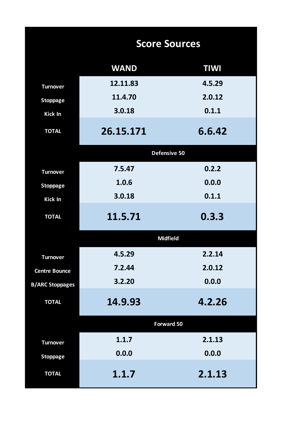|                        | <b>Score Sources</b> |             |
|------------------------|----------------------|-------------|
|                        | <b>WAND</b>          | <b>TIWI</b> |
| <b>Turnover</b>        | 12.11.83             | 4.5.29      |
| <b>Stoppage</b>        | 11.4.70              | 2.0.12      |
| <b>Kick In</b>         | 3.0.18               | 0.1.1       |
| <b>TOTAL</b>           | 26.15.171            | 6.6.42      |
|                        | Defensive 50         |             |
| <b>Turnover</b>        | 7.5.47               | 0.2.2       |
| <b>Stoppage</b>        | 1.0.6                | 0.0.0       |
| <b>Kick In</b>         | 3.0.18               | 0.1.1       |
| <b>TOTAL</b>           | 11.5.71              | 0.3.3       |
|                        | <b>Midfield</b>      |             |
| <b>Turnover</b>        | 4.5.29               | 2.2.14      |
| <b>Centre Bounce</b>   | 7.2.44               | 2.0.12      |
| <b>B/ARC Stoppages</b> | 3.2.20               | 0.0.0       |
| <b>TOTAL</b>           | 14.9.93              | 4.2.26      |
|                        | Forward 50           |             |
| <b>Turnover</b>        | 1.1.7                | 2.1.13      |
| <b>Stoppage</b>        | 0.0.0                | 0.0.0       |
| <b>TOTAL</b>           | 1.1.7                | 2.1.13      |